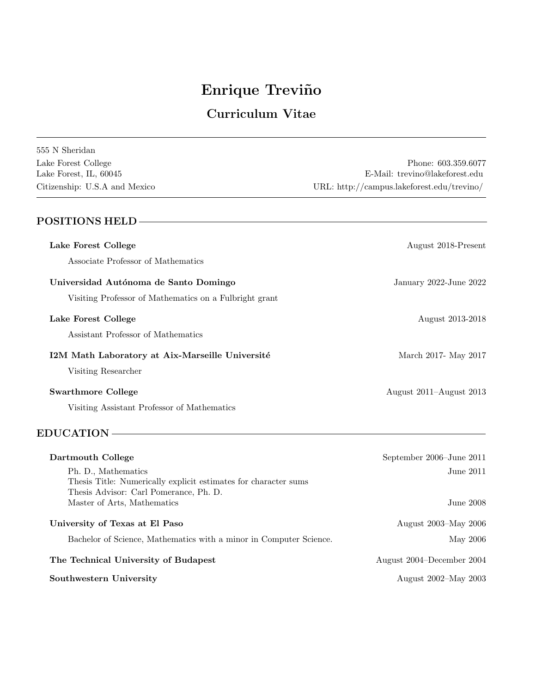# Enrique Treviño

# Curriculum Vitae

| 555 N Sheridan                |                                            |
|-------------------------------|--------------------------------------------|
| Lake Forest College           | Phone: 603.359.6077                        |
| Lake Forest, IL, 60045        | E-Mail: trevino@lakeforest.edu             |
| Citizenship: U.S.A and Mexico | URL: http://campus.lakeforest.edu/trevino/ |

# POSITIONS HELD Lake Forest College August 2018-Present Associate Professor of Mathematics Universidad Aut´onoma de Santo Domingo January 2022-June 2022 Visiting Professor of Mathematics on a Fulbright grant Lake Forest College August 2013-2018 Assistant Professor of Mathematics I2M Math Laboratory at Aix-Marseille Université March 2017- May 2017 Visiting Researcher Swarthmore College August 2011–August 2013 Visiting Assistant Professor of Mathematics

### EDUCATION

| Dartmouth College                                                  | September 2006–June 2011  |
|--------------------------------------------------------------------|---------------------------|
| Ph. D., Mathematics                                                | June 2011.                |
| Thesis Title: Numerically explicit estimates for character sums    |                           |
| Thesis Advisor: Carl Pomerance, Ph. D.                             |                           |
| Master of Arts, Mathematics                                        | June 2008                 |
|                                                                    |                           |
| University of Texas at El Paso                                     | August 2003–May 2006      |
| Bachelor of Science, Mathematics with a minor in Computer Science. | May 2006                  |
| The Technical University of Budapest                               | August 2004–December 2004 |
| Southwestern University                                            | August 2002–May 2003      |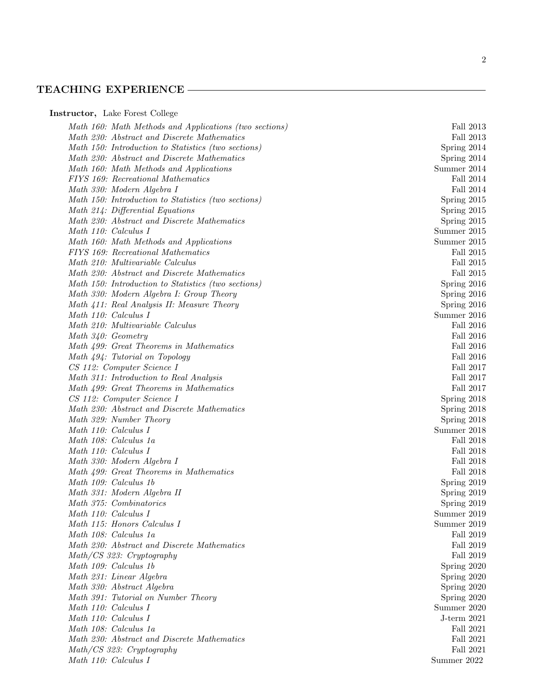#### TEACHING EXPERIENCE

Instructor, Lake Forest College

Math 160: Math Methods and Applications (two sections) Fall 2013 Math 230: Abstract and Discrete Mathematics Fall 2013 Math 150: Introduction to Statistics (two sections) Spring 2014 Math 230: Abstract and Discrete Mathematics Spring 2014 Math 160: Math Methods and Applications Summer 2014 FIYS 169: Recreational Mathematics Fall 2014 Math 330: Modern Algebra I Fall 2014 Math 150: Introduction to Statistics (two sections) Spring 2015 Math 214: Differential Equations Spring 2015 Math 230: Abstract and Discrete Mathematics Spring 2015 Math 110: Calculus I Summer 2015 Math 160: Math Methods and Applications Summer 2015 FIYS 169: Recreational Mathematics Fall 2015 Math 210: Multivariable Calculus Fall 2015 Math 230: Abstract and Discrete Mathematics Fall 2015 Math 150: Introduction to Statistics (two sections) Spring 2016 Math 330: Modern Algebra I: Group Theory Spring 2016 Math 411: Real Analysis II: Measure Theory Spring 2016 Math 110: Calculus I Summer 2016 Math 210: Multivariable Calculus Fall 2016 Math 340: Geometry Fall 2016 Math 499: Great Theorems in Mathematics Fall 2016 Math 494: Tutorial on Topology Fall 2016 CS 112: Computer Science I Fall 2017 Math 311: Introduction to Real Analysis Fall 2017 Math 499: Great Theorems in Mathematics Fall 2017 CS 112: Computer Science I Spring 2018 Math 230: Abstract and Discrete Mathematics Spring 2018 Math 329: Number Theory Spring 2018 Math 110: Calculus I Summer 2018 Math 108: Calculus 1a Fall 2018 Math 110: Calculus I Fall 2018 Math 330: Modern Algebra I Fall 2018 Math 499: Great Theorems in Mathematics Fall 2018 Math 109: Calculus 1b Spring 2019 Math 331: Modern Algebra II Spring 2019 Math 375: Combinatorics Spring 2019 Math 110: Calculus I Summer 2019 Math 115: Honors Calculus I Summer 2019 Math 108: Calculus 1a Fall 2019 Math 230: Abstract and Discrete Mathematics Fall 2019 Math/CS 323: Cryptography Fall 2019 Math 109: Calculus 1b Spring 2020 Math 231: Linear Algebra Spring 2020 Math 330: Abstract Algebra  $S_n$  Spring 2020 Math 391: Tutorial on Number Theory Spring 2020 Math 110: Calculus I Summer 2020 Math 110: Calculus I J-term 2021 Math 108: Calculus 1a Fall 2021 Math 230: Abstract and Discrete Mathematics Fall 2021 Math/CS 323: Cryptography Fall 2021 Math 110: Calculus I Summer 2022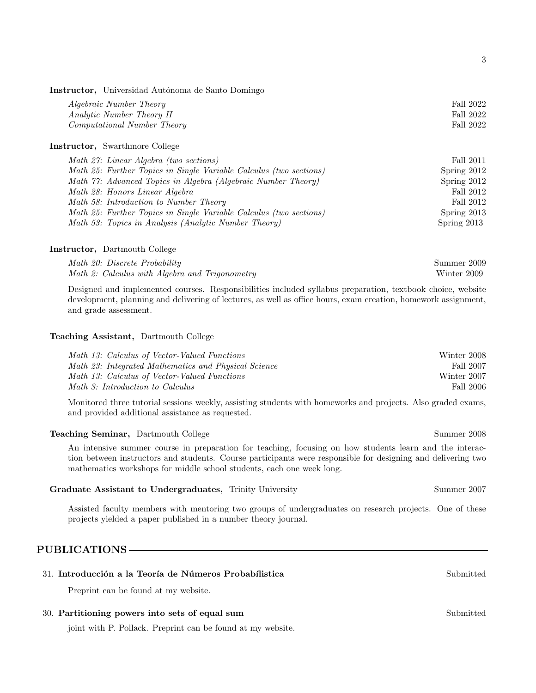Instructor, Universidad Autónoma de Santo Domingo

| <i>Algebraic Number Theory</i>         | Fall 2022 |
|----------------------------------------|-----------|
| Analytic Number Theory II              | Fall 2022 |
| <i>Computational Number Theory</i>     | Fall 2022 |
| Instructor, Swarthmore College         |           |
| Math 27: Linear Algebra (two sections) | Fall 2011 |

| $1.1$ and $\approx 1.1$ . $1.1$ and $1.1$ and $1.0$ and $1.0$ and $0.0$ and $0.00$ and $0.00$ and $0.00$ and $0.00$ and $0.00$ and $0.00$ and $0.00$ and $0.00$ and $0.00$ and $0.00$ and $0.00$ and $0.00$ and $0.00$ and $0.00$ | * W** * V * * |
|-----------------------------------------------------------------------------------------------------------------------------------------------------------------------------------------------------------------------------------|---------------|
| Math 25: Further Topics in Single Variable Calculus (two sections)                                                                                                                                                                | Spring 2012   |
| Math 77: Advanced Topics in Algebra (Algebraic Number Theory)                                                                                                                                                                     | Spring 2012   |
| Math 28: Honors Linear Algebra                                                                                                                                                                                                    | Fall 2012     |
| Math 58: Introduction to Number Theory                                                                                                                                                                                            | Fall 2012     |
| Math 25: Further Topics in Single Variable Calculus (two sections)                                                                                                                                                                | Spring 2013   |
| Math 53: Topics in Analysis (Analytic Number Theory)                                                                                                                                                                              | Spring $2013$ |

#### Instructor, Dartmouth College

| Math 20: Discrete Probability                  | Summer 2009 |
|------------------------------------------------|-------------|
| Math 2: Calculus with Algebra and Trigonometry | Winter 2009 |

Designed and implemented courses. Responsibilities included syllabus preparation, textbook choice, website development, planning and delivering of lectures, as well as office hours, exam creation, homework assignment, and grade assessment.

#### Teaching Assistant, Dartmouth College

| Math 13: Calculus of Vector-Valued Functions         | Winter 2008 |
|------------------------------------------------------|-------------|
| Math 23: Integrated Mathematics and Physical Science | Fall 2007   |
| Math 13: Calculus of Vector-Valued Functions         | Winter 2007 |
| Math 3: Introduction to Calculus                     | Fall 2006   |

Monitored three tutorial sessions weekly, assisting students with homeworks and projects. Also graded exams, and provided additional assistance as requested.

#### Teaching Seminar, Dartmouth College Summer 2008

An intensive summer course in preparation for teaching, focusing on how students learn and the interaction between instructors and students. Course participants were responsible for designing and delivering two mathematics workshops for middle school students, each one week long.

#### Graduate Assistant to Undergraduates, Trinity University Summer 2007

Assisted faculty members with mentoring two groups of undergraduates on research projects. One of these projects yielded a paper published in a number theory journal.

### PUBLICATIONS

#### 31. Introducción a la Teoría de Números Probabílistica Submitted Submitted

Preprint can be found at my website.

#### 30. Partitioning powers into sets of equal sum Submitted Submitted Submitted Submitted Submitted Submitted Submitted Submitted Submitted Submitted Submitted Submitted Submitted Submitted Submitted Submitted Submitted Submi

joint with P. Pollack. Preprint can be found at my website.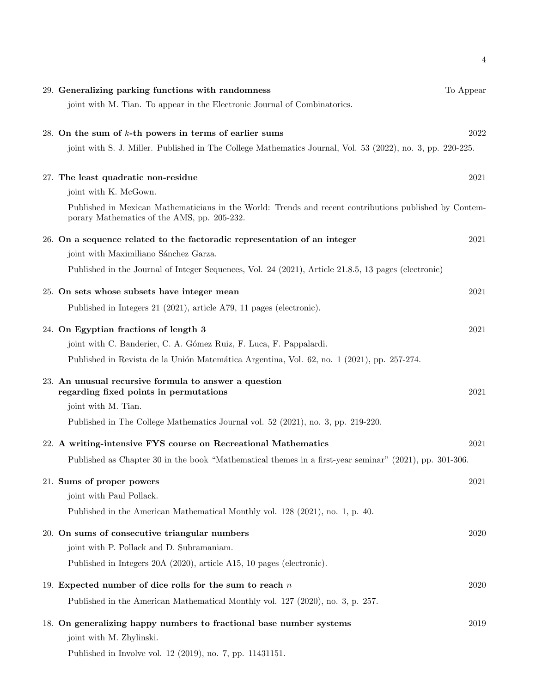| 29. Generalizing parking functions with randomness<br>joint with M. Tian. To appear in the Electronic Journal of Combinatorics.                       | To Appear |
|-------------------------------------------------------------------------------------------------------------------------------------------------------|-----------|
| 28. On the sum of $k$ -th powers in terms of earlier sums                                                                                             | 2022      |
| joint with S. J. Miller. Published in The College Mathematics Journal, Vol. 53 (2022), no. 3, pp. 220-225.                                            |           |
| 27. The least quadratic non-residue                                                                                                                   | 2021      |
| joint with K. McGown.                                                                                                                                 |           |
| Published in Mexican Mathematicians in the World: Trends and recent contributions published by Contem-<br>porary Mathematics of the AMS, pp. 205-232. |           |
| 26. On a sequence related to the factoradic representation of an integer                                                                              | 2021      |
| joint with Maximiliano Sánchez Garza.                                                                                                                 |           |
| Published in the Journal of Integer Sequences, Vol. 24 (2021), Article 21.8.5, 13 pages (electronic)                                                  |           |
| 25. On sets whose subsets have integer mean                                                                                                           | 2021      |
| Published in Integers 21 (2021), article A79, 11 pages (electronic).                                                                                  |           |
| 24. On Egyptian fractions of length 3                                                                                                                 | 2021      |
| joint with C. Banderier, C. A. Gómez Ruiz, F. Luca, F. Pappalardi.                                                                                    |           |
| Published in Revista de la Unión Matemática Argentina, Vol. 62, no. 1 (2021), pp. 257-274.                                                            |           |
| 23. An unusual recursive formula to answer a question<br>regarding fixed points in permutations                                                       | 2021      |
| joint with M. Tian.                                                                                                                                   |           |
| Published in The College Mathematics Journal vol. 52 (2021), no. 3, pp. 219-220.                                                                      |           |
| 22. A writing-intensive FYS course on Recreational Mathematics                                                                                        | 2021      |
| Published as Chapter 30 in the book "Mathematical themes in a first-year seminar" (2021), pp. 301-306.                                                |           |
| 21. Sums of proper powers                                                                                                                             | 2021      |
| joint with Paul Pollack.                                                                                                                              |           |
| Published in the American Mathematical Monthly vol. 128 (2021), no. 1, p. 40.                                                                         |           |
| 20. On sums of consecutive triangular numbers                                                                                                         | 2020      |
| joint with P. Pollack and D. Subramaniam.                                                                                                             |           |
| Published in Integers 20A (2020), article A15, 10 pages (electronic).                                                                                 |           |
| 19. Expected number of dice rolls for the sum to reach $n$                                                                                            | 2020      |
| Published in the American Mathematical Monthly vol. 127 (2020), no. 3, p. 257.                                                                        |           |
| 18. On generalizing happy numbers to fractional base number systems<br>joint with M. Zhylinski.                                                       | 2019      |
| Published in Involve vol. 12 (2019), no. 7, pp. 11431151.                                                                                             |           |

4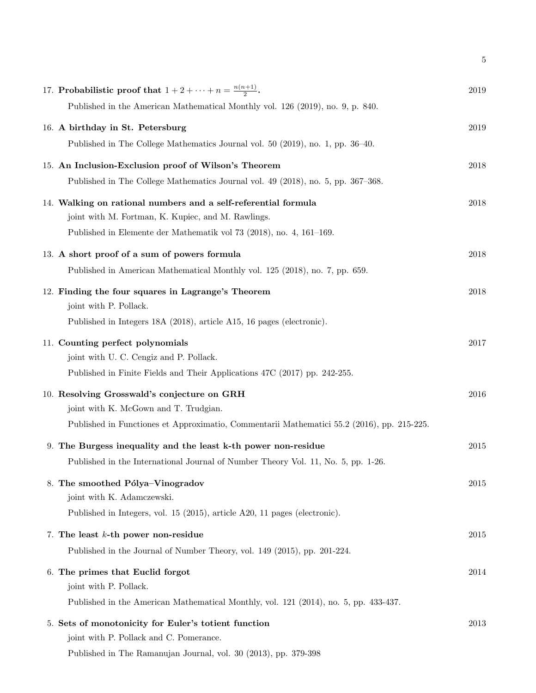| 17. Probabilistic proof that $1+2+\cdots+n=\frac{n(n+1)}{2}$ .                             | 2019 |
|--------------------------------------------------------------------------------------------|------|
| Published in the American Mathematical Monthly vol. 126 (2019), no. 9, p. 840.             |      |
| 16. A birthday in St. Petersburg                                                           | 2019 |
| Published in The College Mathematics Journal vol. 50 (2019), no. 1, pp. 36–40.             |      |
| 15. An Inclusion-Exclusion proof of Wilson's Theorem                                       | 2018 |
| Published in The College Mathematics Journal vol. 49 (2018), no. 5, pp. 367–368.           |      |
| 14. Walking on rational numbers and a self-referential formula                             | 2018 |
| joint with M. Fortman, K. Kupiec, and M. Rawlings.                                         |      |
| Published in Elemente der Mathematik vol 73 (2018), no. 4, 161–169.                        |      |
| 13. A short proof of a sum of powers formula                                               | 2018 |
| Published in American Mathematical Monthly vol. 125 (2018), no. 7, pp. 659.                |      |
| 12. Finding the four squares in Lagrange's Theorem                                         | 2018 |
| joint with P. Pollack.                                                                     |      |
| Published in Integers 18A (2018), article A15, 16 pages (electronic).                      |      |
| 11. Counting perfect polynomials                                                           | 2017 |
| joint with U. C. Cengiz and P. Pollack.                                                    |      |
| Published in Finite Fields and Their Applications 47C (2017) pp. 242-255.                  |      |
| 10. Resolving Grosswald's conjecture on GRH                                                | 2016 |
| joint with K. McGown and T. Trudgian.                                                      |      |
| Published in Functiones et Approximatio, Commentarii Mathematici 55.2 (2016), pp. 215-225. |      |
| 9. The Burgess inequality and the least k-th power non-residue                             | 2015 |
| Published in the International Journal of Number Theory Vol. 11, No. 5, pp. 1-26.          |      |
| 8. The smoothed Pólya-Vinogradov                                                           | 2015 |
| joint with K. Adamczewski.                                                                 |      |
| Published in Integers, vol. 15 (2015), article A20, 11 pages (electronic).                 |      |
| 7. The least $k$ -th power non-residue                                                     | 2015 |
| Published in the Journal of Number Theory, vol. 149 (2015), pp. 201-224.                   |      |
| 6. The primes that Euclid forgot                                                           | 2014 |
| joint with P. Pollack.                                                                     |      |
| Published in the American Mathematical Monthly, vol. 121 (2014), no. 5, pp. 433-437.       |      |
| 5. Sets of monotonicity for Euler's totient function                                       | 2013 |
| joint with P. Pollack and C. Pomerance.                                                    |      |
| Published in The Ramanujan Journal, vol. 30 (2013), pp. 379-398                            |      |

5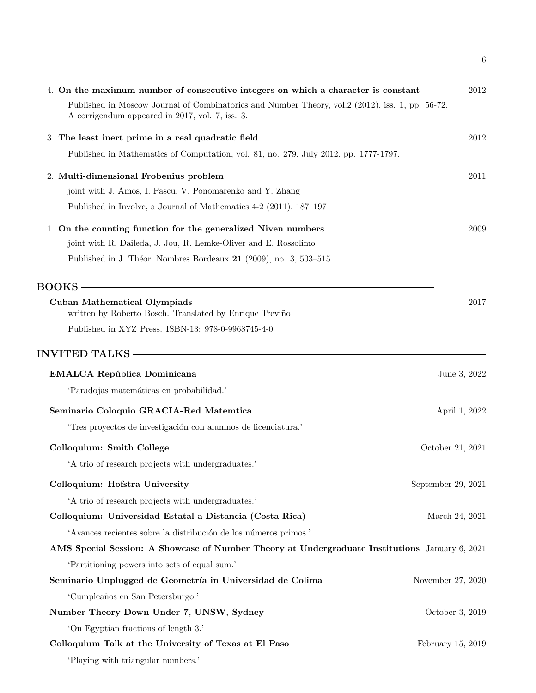|                                                                                                                                                     | 6                  |
|-----------------------------------------------------------------------------------------------------------------------------------------------------|--------------------|
| 4. On the maximum number of consecutive integers on which a character is constant                                                                   | 2012               |
| Published in Moscow Journal of Combinatorics and Number Theory, vol.2 (2012), iss. 1, pp. 56-72.<br>A corrigendum appeared in 2017, vol. 7, iss. 3. |                    |
| 3. The least inert prime in a real quadratic field                                                                                                  | 2012               |
| Published in Mathematics of Computation, vol. 81, no. 279, July 2012, pp. 1777-1797.                                                                |                    |
| 2. Multi-dimensional Frobenius problem                                                                                                              | 2011               |
| joint with J. Amos, I. Pascu, V. Ponomarenko and Y. Zhang                                                                                           |                    |
| Published in Involve, a Journal of Mathematics 4-2 (2011), 187-197                                                                                  |                    |
| 1. On the counting function for the generalized Niven numbers                                                                                       | 2009               |
| joint with R. Daileda, J. Jou, R. Lemke-Oliver and E. Rossolimo                                                                                     |                    |
| Published in J. Théor. Nombres Bordeaux 21 (2009), no. 3, 503-515                                                                                   |                    |
| <b>BOOKS</b>                                                                                                                                        |                    |
| <b>Cuban Mathematical Olympiads</b><br>written by Roberto Bosch. Translated by Enrique Treviño                                                      | 2017               |
| Published in XYZ Press. ISBN-13: 978-0-9968745-4-0                                                                                                  |                    |
| <b>INVITED TALKS</b>                                                                                                                                |                    |
| <b>EMALCA República Dominicana</b>                                                                                                                  | June 3, 2022       |
| 'Paradojas matemáticas en probabilidad.'                                                                                                            |                    |
| Seminario Coloquio GRACIA-Red Matemtica                                                                                                             | April 1, 2022      |
| 'Tres proyectos de investigación con alumnos de licenciatura.'                                                                                      |                    |
| Colloquium: Smith College                                                                                                                           | October 21, 2021   |
| 'A trio of research projects with undergraduates.'                                                                                                  |                    |
| Colloquium: Hofstra University                                                                                                                      | September 29, 2021 |
| 'A trio of research projects with undergraduates.'                                                                                                  |                    |
| Colloquium: Universidad Estatal a Distancia (Costa Rica)                                                                                            | March 24, 2021     |
| 'Avances recientes sobre la distribución de los números primos.'                                                                                    |                    |
| AMS Special Session: A Showcase of Number Theory at Undergraduate Institutions January 6, 2021                                                      |                    |
| 'Partitioning powers into sets of equal sum.'                                                                                                       |                    |
| Seminario Unplugged de Geometría in Universidad de Colima                                                                                           | November 27, 2020  |
| 'Cumpleaños en San Petersburgo.'                                                                                                                    |                    |
| Number Theory Down Under 7, UNSW, Sydney                                                                                                            | October 3, 2019    |
| 'On Egyptian fractions of length 3.'                                                                                                                |                    |
| Colloquium Talk at the University of Texas at El Paso                                                                                               | February 15, 2019  |
| 'Playing with triangular numbers.'                                                                                                                  |                    |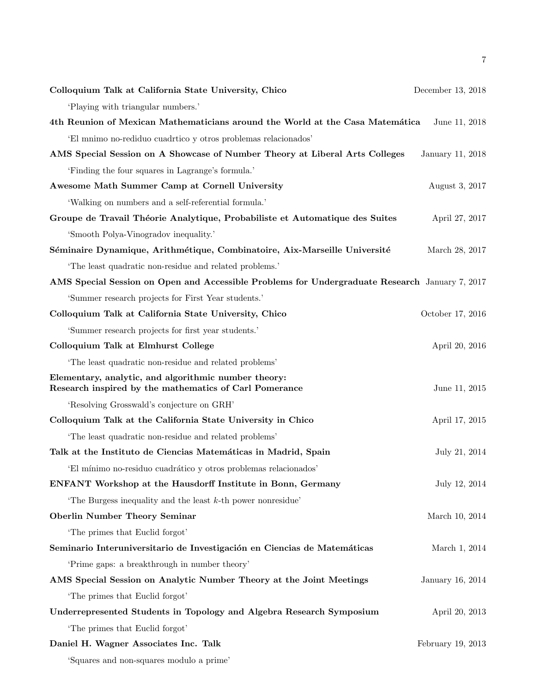| Colloquium Talk at California State University, Chico                                                          | December 13, 2018 |
|----------------------------------------------------------------------------------------------------------------|-------------------|
| 'Playing with triangular numbers.'                                                                             |                   |
| 4th Reunion of Mexican Mathematicians around the World at the Casa Matemática                                  | June 11, 2018     |
| 'El mnimo no-rediduo cuadrtico y otros problemas relacionados'                                                 |                   |
| AMS Special Session on A Showcase of Number Theory at Liberal Arts Colleges                                    | January 11, 2018  |
| 'Finding the four squares in Lagrange's formula.'                                                              |                   |
| Awesome Math Summer Camp at Cornell University                                                                 | August 3, 2017    |
| 'Walking on numbers and a self-referential formula.'                                                           |                   |
| Groupe de Travail Théorie Analytique, Probabiliste et Automatique des Suites                                   | April 27, 2017    |
| 'Smooth Polya-Vinogradov inequality.'                                                                          |                   |
| Séminaire Dynamique, Arithmétique, Combinatoire, Aix-Marseille Université                                      | March 28, 2017    |
| 'The least quadratic non-residue and related problems.'                                                        |                   |
| AMS Special Session on Open and Accessible Problems for Undergraduate Research January 7, 2017                 |                   |
| 'Summer research projects for First Year students.'                                                            |                   |
| Colloquium Talk at California State University, Chico                                                          | October 17, 2016  |
| 'Summer research projects for first year students.'                                                            |                   |
| Colloquium Talk at Elmhurst College                                                                            | April 20, 2016    |
| 'The least quadratic non-residue and related problems'                                                         |                   |
| Elementary, analytic, and algorithmic number theory:<br>Research inspired by the mathematics of Carl Pomerance | June 11, 2015     |
| 'Resolving Grosswald's conjecture on GRH'                                                                      |                   |
| Colloquium Talk at the California State University in Chico                                                    | April 17, 2015    |
| 'The least quadratic non-residue and related problems'                                                         |                   |
| Talk at the Instituto de Ciencias Matemáticas in Madrid, Spain                                                 | July 21, 2014     |
| 'El mínimo no-residuo cuadrático y otros problemas relacionados'                                               |                   |
| <b>ENFANT Workshop at the Hausdorff Institute in Bonn, Germany</b>                                             | July 12, 2014     |
| The Burgess inequality and the least $k$ -th power nonresidue'                                                 |                   |
| <b>Oberlin Number Theory Seminar</b>                                                                           | March 10, 2014    |
| The primes that Euclid forgot'                                                                                 |                   |
| Seminario Interuniversitario de Investigación en Ciencias de Matemáticas                                       | March 1, 2014     |
| 'Prime gaps: a breakthrough in number theory'                                                                  |                   |
| AMS Special Session on Analytic Number Theory at the Joint Meetings                                            | January 16, 2014  |
| The primes that Euclid forgot'                                                                                 |                   |
| Underrepresented Students in Topology and Algebra Research Symposium                                           | April 20, 2013    |
| The primes that Euclid forgot'                                                                                 |                   |
| Daniel H. Wagner Associates Inc. Talk                                                                          | February 19, 2013 |
| 'Squares and non-squares modulo a prime'                                                                       |                   |

'Squares and non-squares modulo a prime'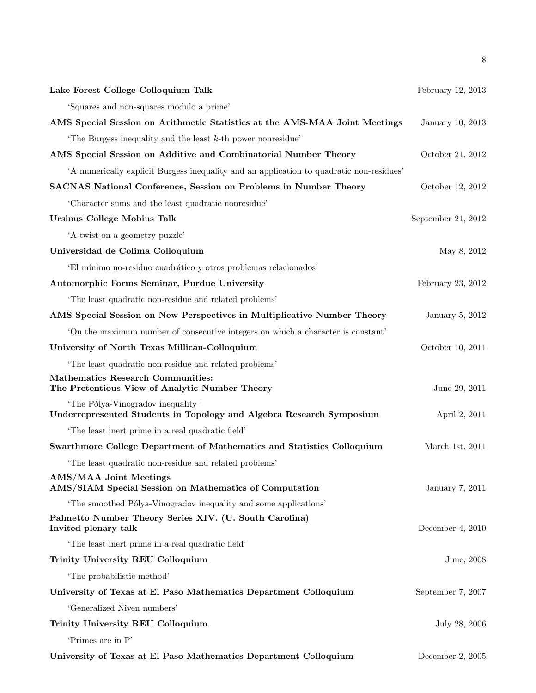| Lake Forest College Colloquium Talk                                                                       | February 12, 2013  |
|-----------------------------------------------------------------------------------------------------------|--------------------|
| 'Squares and non-squares modulo a prime'                                                                  |                    |
| AMS Special Session on Arithmetic Statistics at the AMS-MAA Joint Meetings                                | January 10, 2013   |
| The Burgess inequality and the least $k$ -th power nonresidue'                                            |                    |
| AMS Special Session on Additive and Combinatorial Number Theory                                           | October 21, 2012   |
| A numerically explicit Burgess inequality and an application to quadratic non-residues'                   |                    |
| <b>SACNAS National Conference, Session on Problems in Number Theory</b>                                   | October 12, 2012   |
| 'Character sums and the least quadratic nonresidue'                                                       |                    |
| <b>Ursinus College Mobius Talk</b>                                                                        | September 21, 2012 |
| 'A twist on a geometry puzzle'                                                                            |                    |
| Universidad de Colima Colloquium                                                                          | May 8, 2012        |
| 'El mínimo no-residuo cuadrático y otros problemas relacionados'                                          |                    |
| Automorphic Forms Seminar, Purdue University                                                              | February 23, 2012  |
| 'The least quadratic non-residue and related problems'                                                    |                    |
| AMS Special Session on New Perspectives in Multiplicative Number Theory                                   | January 5, 2012    |
| On the maximum number of consecutive integers on which a character is constant                            |                    |
| University of North Texas Millican-Colloquium                                                             | October 10, 2011   |
| 'The least quadratic non-residue and related problems'                                                    |                    |
| <b>Mathematics Research Communities:</b><br>The Pretentious View of Analytic Number Theory                | June 29, 2011      |
| 'The Pólya-Vinogradov inequality'<br>Underrepresented Students in Topology and Algebra Research Symposium | April 2, 2011      |
| The least inert prime in a real quadratic field'                                                          |                    |
| Swarthmore College Department of Mathematics and Statistics Colloquium                                    | March 1st, 2011    |
| 'The least quadratic non-residue and related problems'                                                    |                    |
| <b>AMS/MAA Joint Meetings</b><br>AMS/SIAM Special Session on Mathematics of Computation                   | January 7, 2011    |
| The smoothed Pólya-Vinogradov inequality and some applications'                                           |                    |
| Palmetto Number Theory Series XIV. (U. South Carolina)<br>Invited plenary talk                            | December 4, $2010$ |
| The least inert prime in a real quadratic field'                                                          |                    |
| Trinity University REU Colloquium                                                                         | June, 2008         |
| 'The probabilistic method'                                                                                |                    |
| University of Texas at El Paso Mathematics Department Colloquium                                          | September 7, 2007  |
| 'Generalized Niven numbers'                                                                               |                    |
| Trinity University REU Colloquium                                                                         | July 28, 2006      |
| 'Primes are in P'                                                                                         |                    |
| University of Texas at El Paso Mathematics Department Colloquium                                          | December 2, 2005   |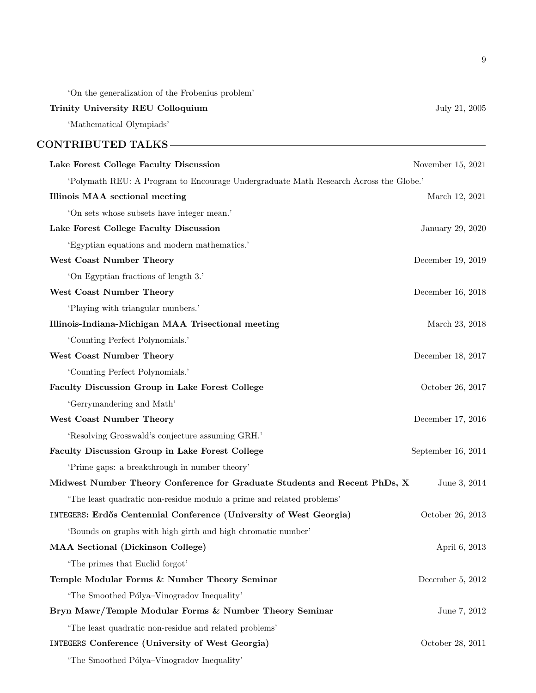'On the generalization of the Frobenius problem' Trinity University REU Colloquium density and the state of the state of the state of the state of the state of the state of the state of the state of the state of the state of the state of the state of the state of the sta 'Mathematical Olympiads' CONTRIBUTED TALKS Lake Forest College Faculty Discussion November 15, 2021 'Polymath REU: A Program to Encourage Undergraduate Math Research Across the Globe.' Illinois MAA sectional meeting March 12, 2021 'On sets whose subsets have integer mean.' Lake Forest College Faculty Discussion January 29, 2020 'Egyptian equations and modern mathematics.' West Coast Number Theory December 19, 2019 'On Egyptian fractions of length 3.' West Coast Number Theory December 16, 2018 'Playing with triangular numbers.' Illinois-Indiana-Michigan MAA Trisectional meeting March 23, 2018 'Counting Perfect Polynomials.' West Coast Number Theory December 18, 2017 'Counting Perfect Polynomials.' Faculty Discussion Group in Lake Forest College  $\qquad \qquad$  October 26, 2017 'Gerrymandering and Math' West Coast Number Theory December 17, 2016 'Resolving Grosswald's conjecture assuming GRH.' Faculty Discussion Group in Lake Forest College September 16, 2014 'Prime gaps: a breakthrough in number theory' Midwest Number Theory Conference for Graduate Students and Recent PhDs, X June 3, 2014 'The least quadratic non-residue modulo a prime and related problems' INTEGERS: Erdős Centennial Conference (University of West Georgia) October 26, 2013 'Bounds on graphs with high girth and high chromatic number' MAA Sectional (Dickinson College) April 6, 2013 'The primes that Euclid forgot' Temple Modular Forms & Number Theory Seminar Theory December 5, 2012 'The Smoothed Pólya–Vinogradov Inequality' Bryn Mawr/Temple Modular Forms & Number Theory Seminar June 7, 2012 'The least quadratic non-residue and related problems' INTEGERS Conference (University of West Georgia) 0ctober 28, 2011

'The Smoothed Pólya–Vinogradov Inequality'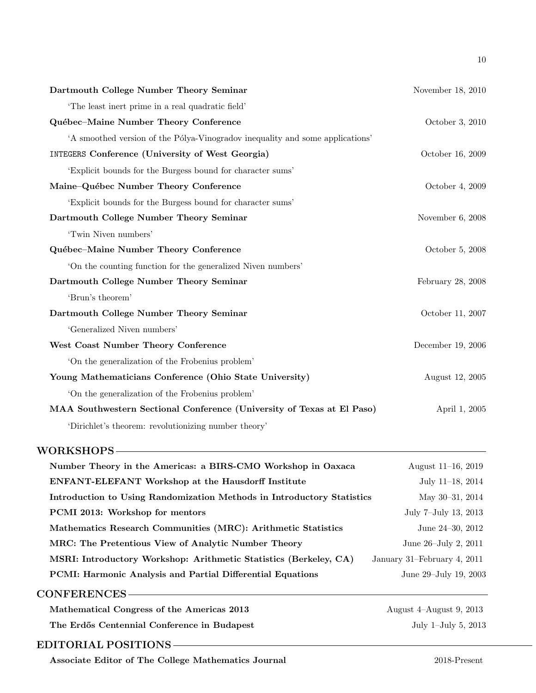| Dartmouth College Number Theory Seminar                                       | November 18, 2010 |
|-------------------------------------------------------------------------------|-------------------|
| The least inert prime in a real quadratic field'                              |                   |
| Québec-Maine Number Theory Conference                                         | October 3, 2010   |
| 'A smoothed version of the Pólya-Vinogradov inequality and some applications' |                   |
| <b>INTEGERS Conference (University of West Georgia)</b>                       | October 16, 2009  |
| 'Explicit bounds for the Burgess bound for character sums'                    |                   |
| Maine-Québec Number Theory Conference                                         | October 4, 2009   |
| 'Explicit bounds for the Burgess bound for character sums'                    |                   |
| Dartmouth College Number Theory Seminar                                       | November 6, 2008  |
| 'Twin Niven numbers'                                                          |                   |
| Québec-Maine Number Theory Conference                                         | October 5, 2008   |
| 'On the counting function for the generalized Niven numbers'                  |                   |
| Dartmouth College Number Theory Seminar                                       | February 28, 2008 |
| 'Brun's theorem'                                                              |                   |
| Dartmouth College Number Theory Seminar                                       | October 11, 2007  |
| 'Generalized Niven numbers'                                                   |                   |
| West Coast Number Theory Conference                                           | December 19, 2006 |
| 'On the generalization of the Frobenius problem'                              |                   |
| Young Mathematicians Conference (Ohio State University)                       | August 12, 2005   |
| 'On the generalization of the Frobenius problem'                              |                   |
| MAA Southwestern Sectional Conference (University of Texas at El Paso)        | April 1, 2005     |
| 'Dirichlet's theorem: revolutionizing number theory'                          |                   |

### WORKSHOPS

| Number Theory in the Americas: a BIRS-CMO Workshop in Oaxaca           | August $11-16$ , $2019$     |
|------------------------------------------------------------------------|-----------------------------|
| <b>ENFANT-ELEFANT Workshop at the Hausdorff Institute</b>              | July 11-18, 2014            |
| Introduction to Using Randomization Methods in Introductory Statistics | May $30-31$ , $2014$        |
| PCMI 2013: Workshop for mentors                                        | July 7-July 13, 2013        |
| Mathematics Research Communities (MRC): Arithmetic Statistics          | June $24-30$ , $2012$       |
| MRC: The Pretentious View of Analytic Number Theory                    | June 26–July 2, 2011        |
| MSRI: Introductory Workshop: Arithmetic Statistics (Berkeley, CA)      | January 31–February 4, 2011 |
| <b>PCMI:</b> Harmonic Analysis and Partial Differential Equations      | June 29–July 19, 2003       |
|                                                                        |                             |

# CONFERENCES Mathematical Congress of the Americas 2013 August 4-August 9, 2013 The Erdős Centennial Conference in Budapest July 1–July 5, 2013

## EDITORIAL POSITIONS

Associate Editor of The College Mathematics Journal 2018-Present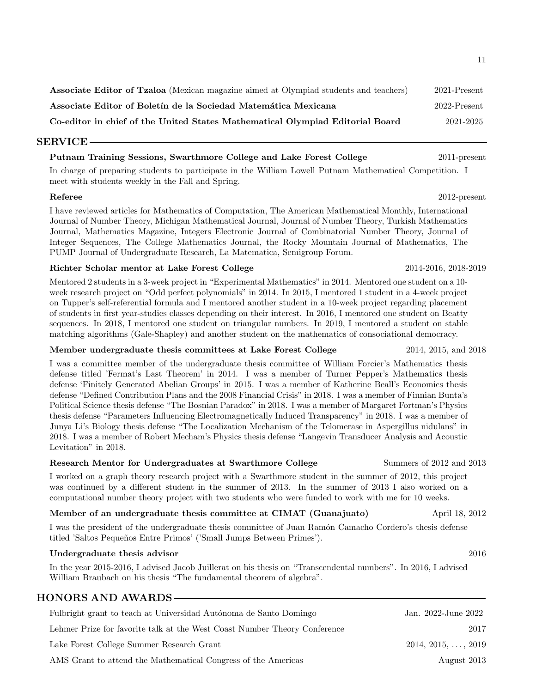Associate Editor of Tzaloa (Mexican magazine aimed at Olympiad students and teachers) 2021-Present Associate Editor of Boletín de la Sociedad Matemática Mexicana 2022-Present Co-editor in chief of the United States Mathematical Olympiad Editorial Board 2021-2025

#### SERVICE

#### Putnam Training Sessions, Swarthmore College and Lake Forest College 2011-present

In charge of preparing students to participate in the William Lowell Putnam Mathematical Competition. I meet with students weekly in the Fall and Spring.

#### Referee 2012-present

I have reviewed articles for Mathematics of Computation, The American Mathematical Monthly, International Journal of Number Theory, Michigan Mathematical Journal, Journal of Number Theory, Turkish Mathematics Journal, Mathematics Magazine, Integers Electronic Journal of Combinatorial Number Theory, Journal of Integer Sequences, The College Mathematics Journal, the Rocky Mountain Journal of Mathematics, The PUMP Journal of Undergraduate Research, La Matematica, Semigroup Forum.

#### Richter Scholar mentor at Lake Forest College 2014-2016, 2018-2019

Mentored 2 students in a 3-week project in "Experimental Mathematics" in 2014. Mentored one student on a 10 week research project on "Odd perfect polynomials" in 2014. In 2015, I mentored 1 student in a 4-week project on Tupper's self-referential formula and I mentored another student in a 10-week project regarding placement of students in first year-studies classes depending on their interest. In 2016, I mentored one student on Beatty sequences. In 2018, I mentored one student on triangular numbers. In 2019, I mentored a student on stable matching algorithms (Gale-Shapley) and another student on the mathematics of consociational democracy.

#### Member undergraduate thesis committees at Lake Forest College 2014, 2015, and 2018

I was a committee member of the undergraduate thesis committee of William Forcier's Mathematics thesis defense titled 'Fermat's Last Theorem' in 2014. I was a member of Turner Pepper's Mathematics thesis defense 'Finitely Generated Abelian Groups' in 2015. I was a member of Katherine Beall's Economics thesis defense "Defined Contribution Plans and the 2008 Financial Crisis" in 2018. I was a member of Finnian Bunta's Political Science thesis defense "The Bosnian Paradox" in 2018. I was a member of Margaret Fortman's Physics thesis defense "Parameters Influencing Electromagnetically Induced Transparency" in 2018. I was a member of Junya Li's Biology thesis defense "The Localization Mechanism of the Telomerase in Aspergillus nidulans" in 2018. I was a member of Robert Mecham's Physics thesis defense "Langevin Transducer Analysis and Acoustic Levitation" in 2018.

#### Research Mentor for Undergraduates at Swarthmore College Summers of 2012 and 2013

I worked on a graph theory research project with a Swarthmore student in the summer of 2012, this project was continued by a different student in the summer of 2013. In the summer of 2013 I also worked on a computational number theory project with two students who were funded to work with me for 10 weeks.

### Member of an undergraduate thesis committee at CIMAT (Guanajuato) April 18, 2012

I was the president of the undergraduate thesis committee of Juan Ramón Camacho Cordero's thesis defense titled 'Saltos Pequeños Entre Primos' ('Small Jumps Between Primes').

#### Undergraduate thesis advisor **2016**

In the year 2015-2016, I advised Jacob Juillerat on his thesis on "Transcendental numbers". In 2016, I advised William Braubach on his thesis "The fundamental theorem of algebra".

### HONORS AND AWARDS

| Fulbright grant to teach at Universidad Autónoma de Santo Domingo         | Jan. 2022-June 2022        |
|---------------------------------------------------------------------------|----------------------------|
| Lehmer Prize for favorite talk at the West Coast Number Theory Conference | 2017                       |
| Lake Forest College Summer Research Grant                                 | $2014, 2015, \ldots, 2019$ |
| AMS Grant to attend the Mathematical Congress of the Americas             | August 2013                |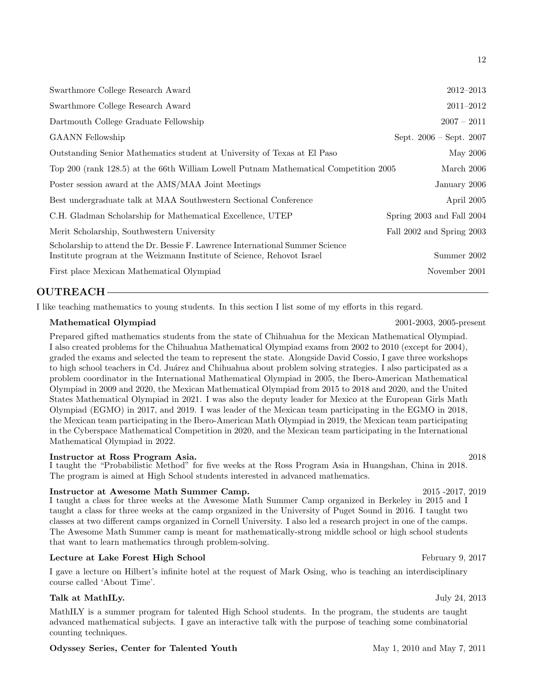## OUTREACH

I like teaching mathematics to young students. In this section I list some of my efforts in this regard.

### Mathematical Olympiad 2001-2003, 2005-present

Prepared gifted mathematics students from the state of Chihuahua for the Mexican Mathematical Olympiad. I also created problems for the Chihuahua Mathematical Olympiad exams from 2002 to 2010 (except for 2004), graded the exams and selected the team to represent the state. Alongside David Cossio, I gave three workshops to high school teachers in Cd. Juárez and Chihuahua about problem solving strategies. I also participated as a problem coordinator in the International Mathematical Olympiad in 2005, the Ibero-American Mathematical Olympiad in 2009 and 2020, the Mexican Mathematical Olympiad from 2015 to 2018 and 2020, and the United States Mathematical Olympiad in 2021. I was also the deputy leader for Mexico at the European Girls Math Olympiad (EGMO) in 2017, and 2019. I was leader of the Mexican team participating in the EGMO in 2018, the Mexican team participating in the Ibero-American Math Olympiad in 2019, the Mexican team participating in the Cyberspace Mathematical Competition in 2020, and the Mexican team participating in the International Mathematical Olympiad in 2022.

#### Instructor at Ross Program Asia. 2018

I taught the "Probabilistic Method" for five weeks at the Ross Program Asia in Huangshan, China in 2018. The program is aimed at High School students interested in advanced mathematics.

#### Instructor at Awesome Math Summer Camp. 2015 -2017, 2019

I taught a class for three weeks at the Awesome Math Summer Camp organized in Berkeley in 2015 and I taught a class for three weeks at the camp organized in the University of Puget Sound in 2016. I taught two classes at two different camps organized in Cornell University. I also led a research project in one of the camps. The Awesome Math Summer camp is meant for mathematically-strong middle school or high school students that want to learn mathematics through problem-solving.

#### Lecture at Lake Forest High School February 9, 2017

I gave a lecture on Hilbert's infinite hotel at the request of Mark Osing, who is teaching an interdisciplinary course called 'About Time'.

### Talk at MathILy. July 24, 2013

MathILY is a summer program for talented High School students. In the program, the students are taught advanced mathematical subjects. I gave an interactive talk with the purpose of teaching some combinatorial counting techniques.

### Odyssey Series, Center for Talented Youth May 1, 2010 and May 7, 2011

12